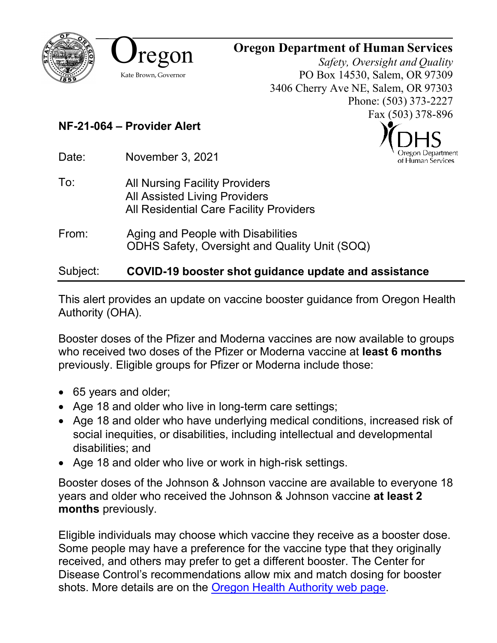



## **Oregon Department of Human Services**

*Safety, Oversight and Quality* PO Box 14530, Salem, OR 97309 3406 Cherry Ave NE, Salem, OR 97303 Phone: (503) 373-2227 Fax (503) 378-896

> Oregon Department of Human Services

## **NF-21-064 – Provider Alert**

Date: November 3, 2021

- To: All Nursing Facility Providers All Assisted Living Providers All Residential Care Facility Providers
- From: Aging and People with Disabilities ODHS Safety, Oversight and Quality Unit (SOQ)

## Subject: **COVID-19 booster shot guidance update and assistance**

This alert provides an update on vaccine booster guidance from Oregon Health Authority (OHA).

Booster doses of the Pfizer and Moderna vaccines are now available to groups who received two doses of the Pfizer or Moderna vaccine at **least 6 months** previously. Eligible groups for Pfizer or Moderna include those:

- 65 years and older;
- Age 18 and older who live in long-term care settings;
- Age 18 and older who have underlying medical conditions, increased risk of social inequities, or disabilities, including intellectual and developmental disabilities; and
- Age 18 and older who live or work in high-risk settings.

Booster doses of the Johnson & Johnson vaccine are available to everyone 18 years and older who received the Johnson & Johnson vaccine **at least 2 months** previously.

Eligible individuals may choose which vaccine they receive as a booster dose. Some people may have a preference for the vaccine type that they originally received, and others may prefer to get a different booster. The Center for Disease Control's recommendations allow mix and match dosing for booster shots. More details are on the [Oregon Health Authority web page.](https://govstatus.egov.com/or-oha-booster-covid-19-vaccine)